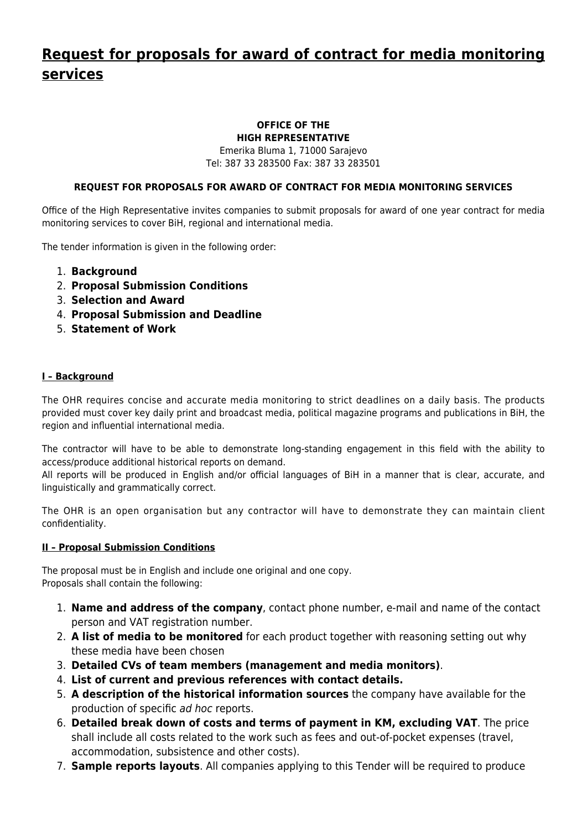# **[Request for proposals for award of contract for media monitoring](http://www.ohr.int/request-for-proposals-for-award-of-contract-for-media-monitoring-services-3/) [services](http://www.ohr.int/request-for-proposals-for-award-of-contract-for-media-monitoring-services-3/)**

#### **OFFICE OF THE HIGH REPRESENTATIVE**

Emerika Bluma 1, 71000 Sarajevo Tel: 387 33 283500 Fax: 387 33 283501

# **REQUEST FOR PROPOSALS FOR AWARD OF CONTRACT FOR MEDIA MONITORING SERVICES**

Office of the High Representative invites companies to submit proposals for award of one year contract for media monitoring services to cover BiH, regional and international media.

The tender information is given in the following order:

- 1. **Background**
- 2. **Proposal Submission Conditions**
- 3. **Selection and Award**
- 4. **Proposal Submission and Deadline**
- 5. **Statement of Work**

# **I – Background**

The OHR requires concise and accurate media monitoring to strict deadlines on a daily basis. The products provided must cover key daily print and broadcast media, political magazine programs and publications in BiH, the region and influential international media.

The contractor will have to be able to demonstrate long-standing engagement in this field with the ability to access/produce additional historical reports on demand.

All reports will be produced in English and/or official languages of BiH in a manner that is clear, accurate, and linguistically and grammatically correct.

The OHR is an open organisation but any contractor will have to demonstrate they can maintain client confidentiality.

# **II – Proposal Submission Conditions**

The proposal must be in English and include one original and one copy. Proposals shall contain the following:

- 1. **Name and address of the company**, contact phone number, e-mail and name of the contact person and VAT registration number.
- 2. **A list of media to be monitored** for each product together with reasoning setting out why these media have been chosen
- 3. **Detailed CVs of team members (management and media monitors)**.
- 4. **List of current and previous references with contact details.**
- 5. **A description of the historical information sources** the company have available for the production of specific ad hoc reports.
- 6. **Detailed break down of costs and terms of payment in KM, excluding VAT**. The price shall include all costs related to the work such as fees and out-of-pocket expenses (travel, accommodation, subsistence and other costs).
- 7. **Sample reports layouts**. All companies applying to this Tender will be required to produce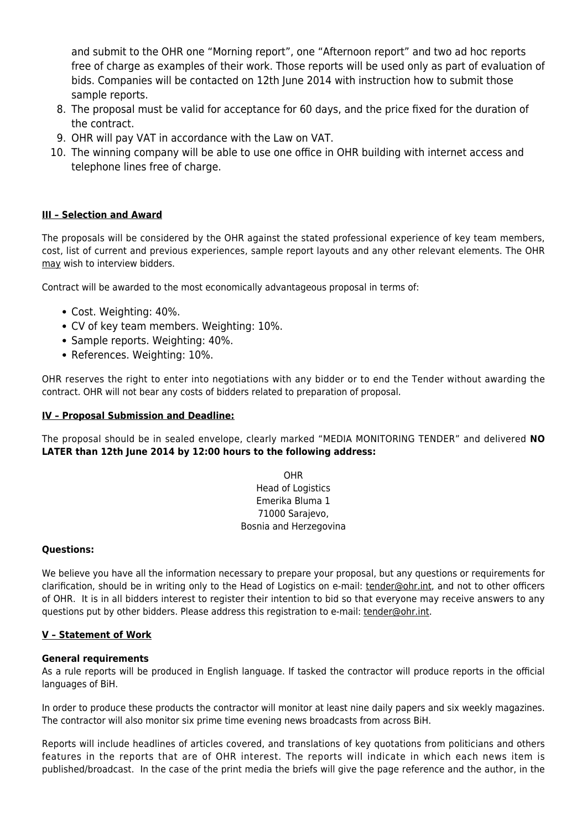and submit to the OHR one "Morning report", one "Afternoon report" and two ad hoc reports free of charge as examples of their work. Those reports will be used only as part of evaluation of bids. Companies will be contacted on 12th June 2014 with instruction how to submit those sample reports.

- 8. The proposal must be valid for acceptance for 60 days, and the price fixed for the duration of the contract.
- 9. OHR will pay VAT in accordance with the Law on VAT.
- 10. The winning company will be able to use one office in OHR building with internet access and telephone lines free of charge.

# **III – Selection and Award**

The proposals will be considered by the OHR against the stated professional experience of key team members, cost, list of current and previous experiences, sample report layouts and any other relevant elements. The OHR may wish to interview bidders.

Contract will be awarded to the most economically advantageous proposal in terms of:

- Cost. Weighting: 40%.
- CV of key team members. Weighting: 10%.
- Sample reports. Weighting: 40%.
- References. Weighting: 10%.

OHR reserves the right to enter into negotiations with any bidder or to end the Tender without awarding the contract. OHR will not bear any costs of bidders related to preparation of proposal.

### **IV – Proposal Submission and Deadline:**

The proposal should be in sealed envelope, clearly marked "MEDIA MONITORING TENDER" and delivered **NO LATER than 12th June 2014 by 12:00 hours to the following address:**

> OHR Head of Logistics Emerika Bluma 1 71000 Sarajevo, Bosnia and Herzegovina

#### **Questions:**

We believe you have all the information necessary to prepare your proposal, but any questions or requirements for clarification, should be in writing only to the Head of Logistics on e-mail: [tender@ohr.int,](http://www.ohr.int/mailto:tender@ohr.int) and not to other officers of OHR. It is in all bidders interest to register their intention to bid so that everyone may receive answers to any questions put by other bidders. Please address this registration to e-mail: [tender@ohr.int](http://www.ohr.int/mailto:tender@ohr.int).

# **V – Statement of Work**

#### **General requirements**

As a rule reports will be produced in English language. If tasked the contractor will produce reports in the official languages of BiH.

In order to produce these products the contractor will monitor at least nine daily papers and six weekly magazines. The contractor will also monitor six prime time evening news broadcasts from across BiH.

Reports will include headlines of articles covered, and translations of key quotations from politicians and others features in the reports that are of OHR interest. The reports will indicate in which each news item is published/broadcast. In the case of the print media the briefs will give the page reference and the author, in the